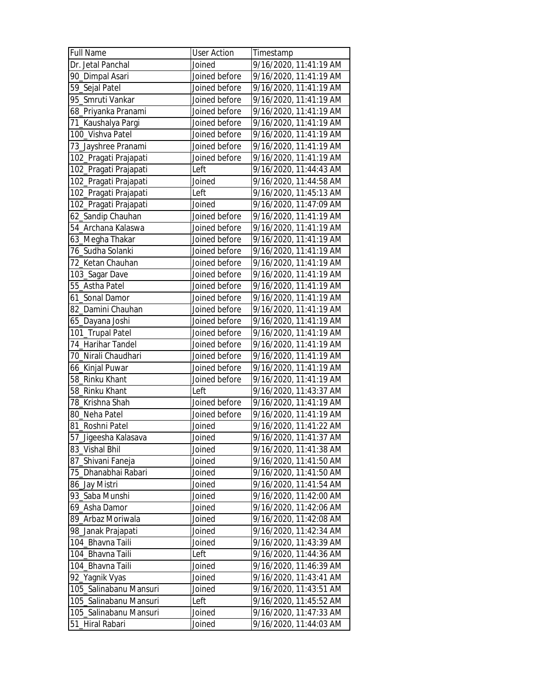| <b>Full Name</b>       | <b>User Action</b> | Timestamp              |
|------------------------|--------------------|------------------------|
| Dr. Jetal Panchal      | Joined             | 9/16/2020, 11:41:19 AM |
| 90_Dimpal Asari        | Joined before      | 9/16/2020, 11:41:19 AM |
| 59_Sejal Patel         | Joined before      | 9/16/2020, 11:41:19 AM |
| 95_Smruti Vankar       | Joined before      | 9/16/2020, 11:41:19 AM |
| 68_Priyanka Pranami    | Joined before      | 9/16/2020, 11:41:19 AM |
| 71_Kaushalya Pargi     | Joined before      | 9/16/2020, 11:41:19 AM |
| 100 Vishva Patel       | Joined before      | 9/16/2020, 11:41:19 AM |
| 73_Jayshree Pranami    | Joined before      | 9/16/2020, 11:41:19 AM |
| 102_Pragati Prajapati  | Joined before      | 9/16/2020, 11:41:19 AM |
| 102_Pragati Prajapati  | Left               | 9/16/2020, 11:44:43 AM |
| 102_Pragati Prajapati  | Joined             | 9/16/2020, 11:44:58 AM |
| 102_Pragati Prajapati  | Left               | 9/16/2020, 11:45:13 AM |
| 102_Pragati Prajapati  | Joined             | 9/16/2020, 11:47:09 AM |
| 62_Sandip Chauhan      | Joined before      | 9/16/2020, 11:41:19 AM |
| 54_Archana Kalaswa     | Joined before      | 9/16/2020, 11:41:19 AM |
| 63_Megha Thakar        | Joined before      | 9/16/2020, 11:41:19 AM |
| 76_Sudha Solanki       | Joined before      | 9/16/2020, 11:41:19 AM |
| 72_Ketan Chauhan       | Joined before      | 9/16/2020, 11:41:19 AM |
| 103_Sagar Dave         | Joined before      | 9/16/2020, 11:41:19 AM |
| 55_Astha Patel         | Joined before      | 9/16/2020, 11:41:19 AM |
| 61_Sonal Damor         | Joined before      | 9/16/2020, 11:41:19 AM |
| 82_Damini Chauhan      | Joined before      | 9/16/2020, 11:41:19 AM |
| 65_Dayana Joshi        | Joined before      | 9/16/2020, 11:41:19 AM |
| 101_Trupal Patel       | Joined before      | 9/16/2020, 11:41:19 AM |
| 74_Harihar Tandel      | Joined before      | 9/16/2020, 11:41:19 AM |
| 70_Nirali Chaudhari    | Joined before      | 9/16/2020, 11:41:19 AM |
| 66_Kinjal Puwar        | Joined before      | 9/16/2020, 11:41:19 AM |
| 58_Rinku Khant         | Joined before      | 9/16/2020, 11:41:19 AM |
| 58_Rinku Khant         | Left               | 9/16/2020, 11:43:37 AM |
| 78 Krishna Shah        | Joined before      | 9/16/2020, 11:41:19 AM |
| 80_Neha Patel          | Joined before      | 9/16/2020, 11:41:19 AM |
| 81_Roshni Patel        | Joined             | 9/16/2020, 11:41:22 AM |
| 57_Jigeesha Kalasava   | Joined             | 9/16/2020, 11:41:37 AM |
| 83_Vishal Bhil         | Joined             | 9/16/2020, 11:41:38 AM |
| 87_Shivani Faneja      | Joined             | 9/16/2020, 11:41:50 AM |
| 75 Dhanabhai Rabari    | Joined             | 9/16/2020, 11:41:50 AM |
| 86_Jay Mistri          | Joined             | 9/16/2020, 11:41:54 AM |
| 93_Saba Munshi         | Joined             | 9/16/2020, 11:42:00 AM |
| 69 Asha Damor          | Joined             | 9/16/2020, 11:42:06 AM |
| 89_Arbaz Moriwala      | Joined             | 9/16/2020, 11:42:08 AM |
| 98_Janak Prajapati     | Joined             | 9/16/2020, 11:42:34 AM |
| 104_Bhavna Taili       | Joined             | 9/16/2020, 11:43:39 AM |
| 104_Bhavna Taili       | Left               | 9/16/2020, 11:44:36 AM |
| 104_Bhavna Taili       | Joined             | 9/16/2020, 11:46:39 AM |
| 92_Yagnik Vyas         | Joined             | 9/16/2020, 11:43:41 AM |
| 105_Salinabanu Mansuri | Joined             | 9/16/2020, 11:43:51 AM |
| 105_Salinabanu Mansuri | Left               | 9/16/2020, 11:45:52 AM |
| 105_Salinabanu Mansuri | Joined             | 9/16/2020, 11:47:33 AM |
| 51_Hiral Rabari        | Joined             | 9/16/2020, 11:44:03 AM |